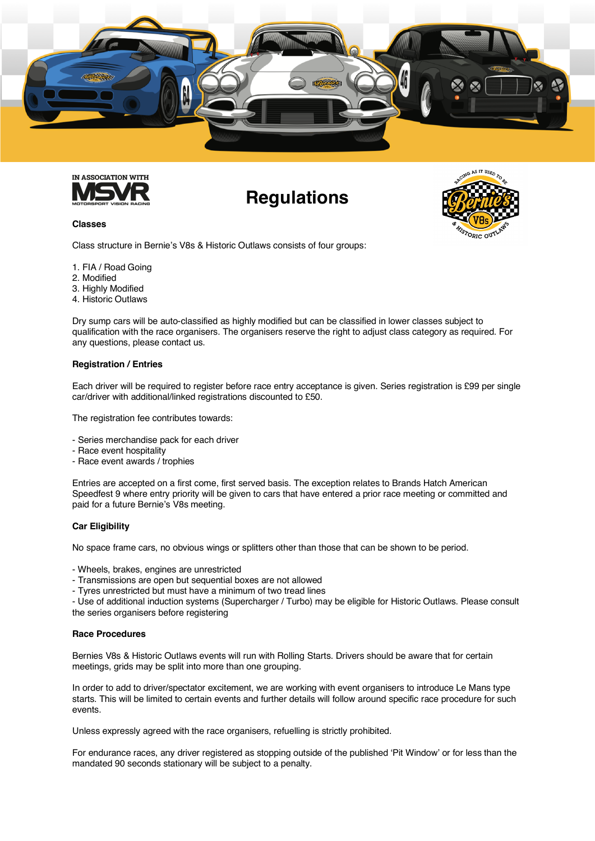



# **Regulations**

**TORIC OUT** 

#### **Classes**

Class structure in Bernie's V8s & Historic Outlaws consists of four groups:

- 1. FIA / Road Going
- 2. Modified
- 3. Highly Modified
- 4. Historic Outlaws

Dry sump cars will be auto-classified as highly modified but can be classified in lower classes subject to qualification with the race organisers. The organisers reserve the right to adjust class category as required. For any questions, please contact us.

#### **Registration / Entries**

Each driver will be required to register before race entry acceptance is given. Series registration is £99 per single car/driver with additional/linked registrations discounted to £50.

The registration fee contributes towards:

- Series merchandise pack for each driver
- Race event hospitality
- Race event awards / trophies

Entries are accepted on a first come, first served basis. The exception relates to Brands Hatch American Speedfest 9 where entry priority will be given to cars that have entered a prior race meeting or committed and paid for a future Bernie's V8s meeting.

#### **Car Eligibility**

No space frame cars, no obvious wings or splitters other than those that can be shown to be period.

- Wheels, brakes, engines are unrestricted

- Transmissions are open but sequential boxes are not allowed
- Tyres unrestricted but must have a minimum of two tread lines

- Use of additional induction systems (Supercharger / Turbo) may be eligible for Historic Outlaws. Please consult the series organisers before registering

#### **Race Procedures**

Bernies V8s & Historic Outlaws events will run with Rolling Starts. Drivers should be aware that for certain meetings, grids may be split into more than one grouping.

In order to add to driver/spectator excitement, we are working with event organisers to introduce Le Mans type starts. This will be limited to certain events and further details will follow around specific race procedure for such events.

Unless expressly agreed with the race organisers, refuelling is strictly prohibited.

For endurance races, any driver registered as stopping outside of the published 'Pit Window' or for less than the mandated 90 seconds stationary will be subject to a penalty.